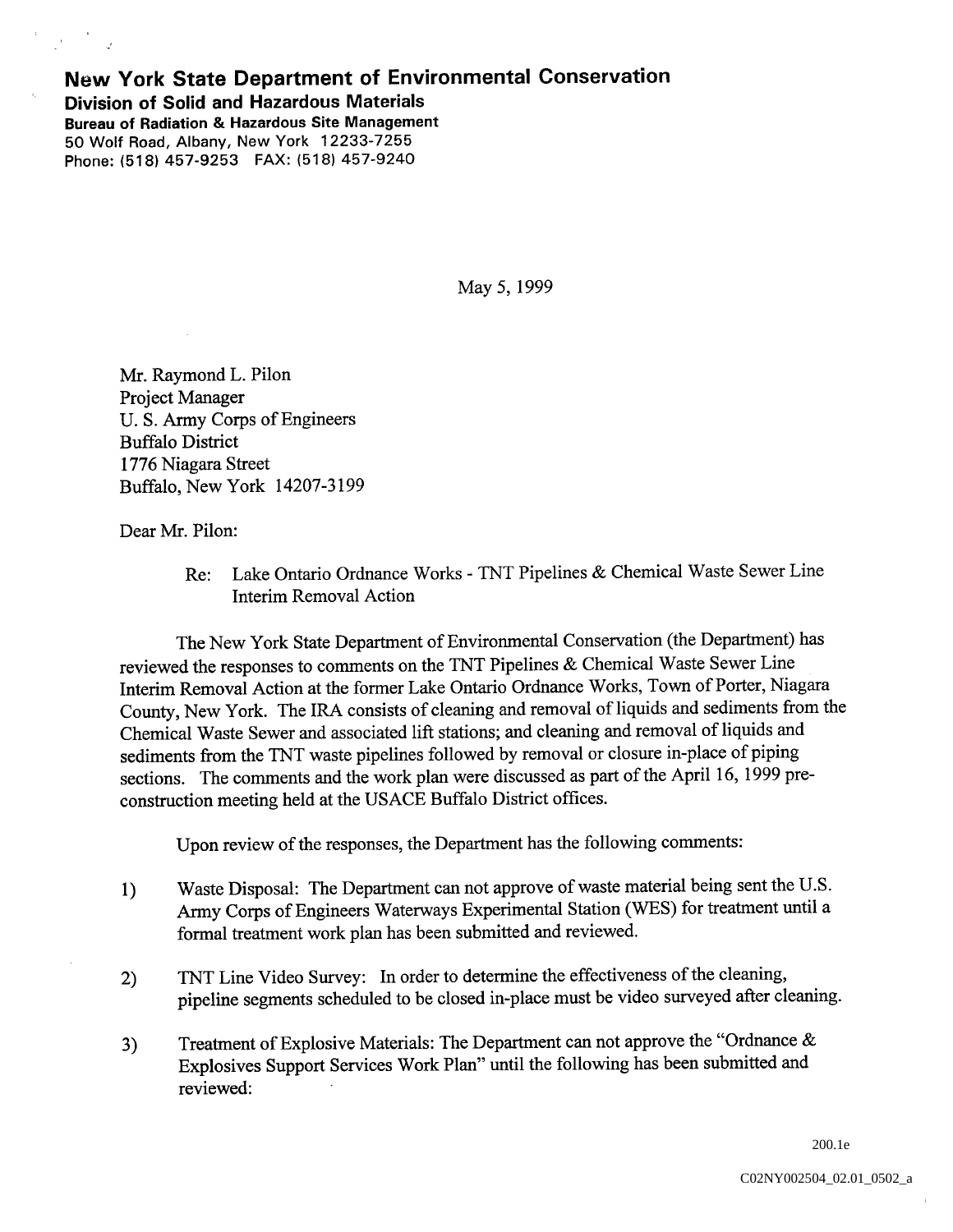## New York State Department of Environmental Conservation Division of Solid and Hazardous Materials Bureau of Radiation & Hazardous Site Management 50 Wolf Road, Albany, New York 12233-7255

Phone: (518) 457-9253 FAX: (518) 457-9240

May 5, 1999

Mr. Raymond L. Pilon Project Manager U. S. Army Corps of Engineers Buffalo District 1776 Niagara Street Buffalo, New York 14207-3199

Dear Mr. Pilon:

Re: Lake Ontario Ordnance Works - TNT Pipelines & Chemical Waste Sewer Line Interim Removal Action

The New York State Department of Environmental Conservation (the Department) has reviewed the responses to comments on the TNT Pipelines & Chemical Waste Sewer Line Interim Removal Action at the former Lake Ontario Ordnance Works, Town of Porter, Niagara County, New York. The IRA consists of cleaning and removal of liquids and sediments from the Chemical Waste Sewer and associated lift stations; and cleaning and removal of liquids and sediments from the TNT waste pipelines followed by removal or closure in-place of piping sections. The comments and the work plan were discussed as part of the April 16, 1999 preconstruction meeting held at the USACE Buffalo District offices

Upon review of the responses, the Department has the following comments:

- Waste Disposal: The Department can not approve of waste material being sent the U.S.  $1)$ Army Corps of Engineers Waterways Experimental Station (WES) for treatment until a formal treatment work plan has been submitted and reviewed
- TNT Line Video Survey: In order to determine the effectiveness of the cleaning,  $2)$ pipeline segments scheduled to be closed in-place must be video surveyed after cleaning
- Treatment of Explosive Materials: The Department can not approve the "Ordnance  $\&$  $3)$ Explosives Support Services Work Plan" until the following has been submitted and reviewed

200.1e